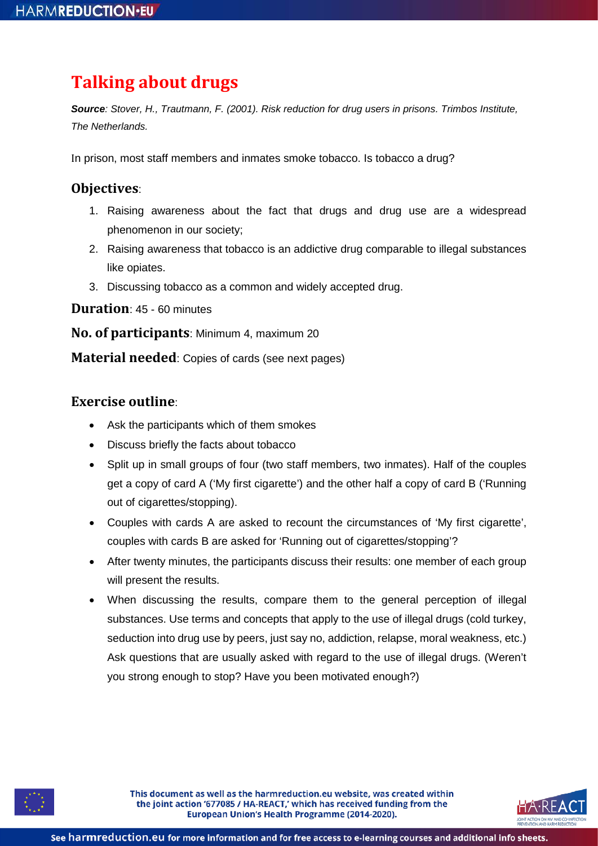# **Talking about drugs**

*Source: Stover, H., Trautmann, F. (2001). Risk reduction for drug users in prisons. Trimbos Institute, The Netherlands.*

In prison, most staff members and inmates smoke tobacco. Is tobacco a drug?

## **Objectives**:

- 1. Raising awareness about the fact that drugs and drug use are a widespread phenomenon in our society;
- 2. Raising awareness that tobacco is an addictive drug comparable to illegal substances like opiates.
- 3. Discussing tobacco as a common and widely accepted drug.

**Duration**: 45 - 60 minutes

**No. of participants**: Minimum 4, maximum 20

**Material needed**: Copies of cards (see next pages)

### **Exercise outline**:

- Ask the participants which of them smokes
- Discuss briefly the facts about tobacco
- Split up in small groups of four (two staff members, two inmates). Half of the couples get a copy of card A ('My first cigarette') and the other half a copy of card B ('Running out of cigarettes/stopping).
- Couples with cards A are asked to recount the circumstances of 'My first cigarette', couples with cards B are asked for 'Running out of cigarettes/stopping'?
- After twenty minutes, the participants discuss their results: one member of each group will present the results.
- When discussing the results, compare them to the general perception of illegal substances. Use terms and concepts that apply to the use of illegal drugs (cold turkey, seduction into drug use by peers, just say no, addiction, relapse, moral weakness, etc.) Ask questions that are usually asked with regard to the use of illegal drugs. (Weren't you strong enough to stop? Have you been motivated enough?)



This document as well as the harmreduction.eu website, was created within the joint action '677085 / HA-REACT,' which has received funding from the European Union's Health Programme (2014-2020).

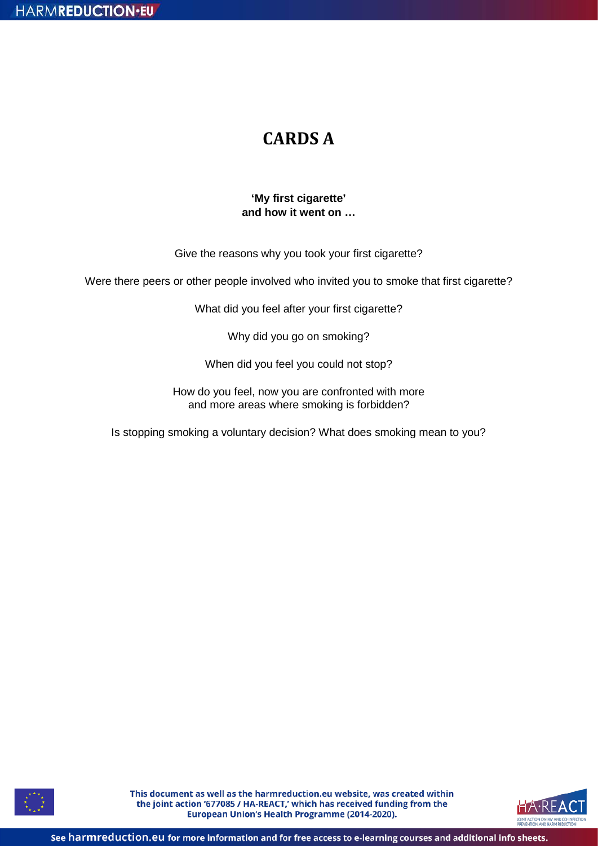## **CARDS A**

### **'My first cigarette' and how it went on …**

Give the reasons why you took your first cigarette?

Were there peers or other people involved who invited you to smoke that first cigarette?

What did you feel after your first cigarette?

Why did you go on smoking?

When did you feel you could not stop?

How do you feel, now you are confronted with more and more areas where smoking is forbidden?

Is stopping smoking a voluntary decision? What does smoking mean to you?



This document as well as the harmreduction.eu website, was created within the joint action '677085 / HA-REACT,' which has received funding from the European Union's Health Programme (2014-2020).